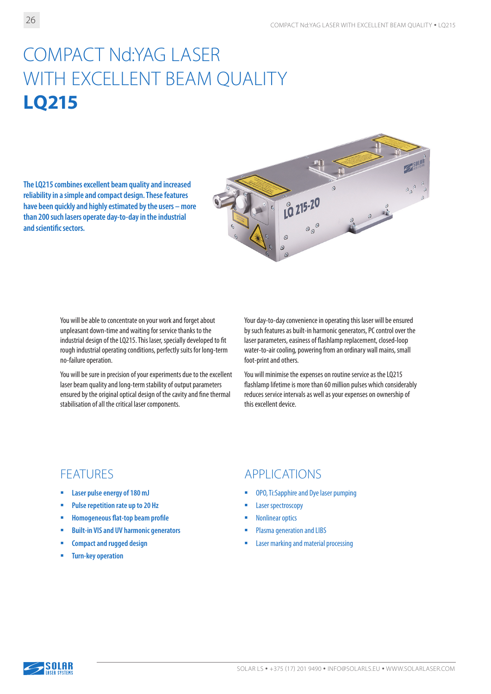# COMPACT Nd:YAG LASER WITH EXCELLENT BEAM QUALITY **LQ215**

**The LQ215 combines excellent beam quality and increased reliability in a simple and compact design. These features have been quickly and highly estimated by the users – more than 200 such lasers operate day-to-day in the industrial and scientific sectors.**



You will be able to concentrate on your work and forget about unpleasant down-time and waiting for service thanks to the industrial design of the LQ215. This laser, specially developed to fit rough industrial operating conditions, perfectly suits for long-term no-failure operation.

You will be sure in precision of your experiments due to the excellent laser beam quality and long-term stability of output parameters ensured by the original optical design of the cavity and fine thermal stabilisation of all the critical laser components.

Your day-to-day convenience in operating this laser will be ensured by such features as built-in harmonic generators, PC control over the laser parameters, easiness of flashlamp replacement, closed-loop water-to-air cooling, powering from an ordinary wall mains, small foot-print and others.

You will minimise the expenses on routine service as the LQ215 flashlamp lifetime is more than 60 million pulses which considerably reduces service intervals as well as your expenses on ownership of this excellent device.

- **Laser pulse energy of 180 mJ**
- **Pulse repetition rate up to 20 Hz**
- **Homogeneous flat-top beam profile**
- **Built-in VIS and UV harmonic generators**
- **Compact and rugged design**
- **Turn-key operation**

#### FEATURES APPLICATIONS

- OPO, Ti:Sapphire and Dye laser pumping
- **Laser spectroscopy**
- Nonlinear optics
- Plasma generation and LIBS
- Laser marking and material processing